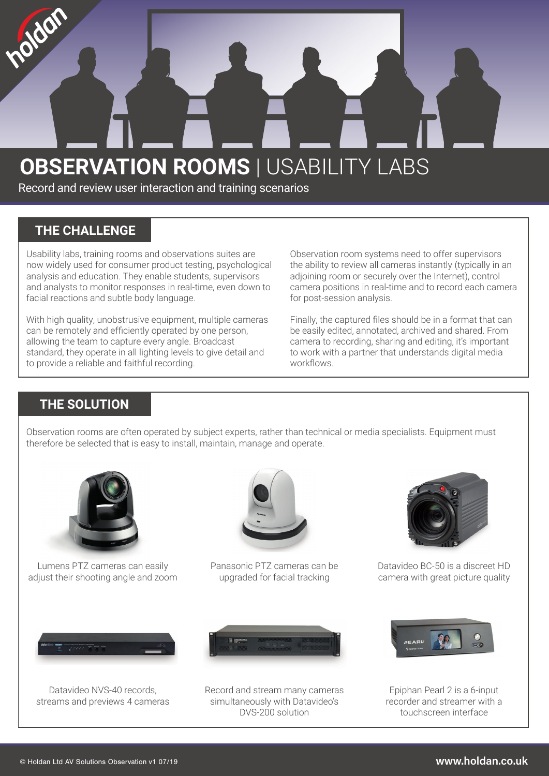# **OBSERVATION ROOMS | USABILITY LABS**

Record and review user interaction and training scenarios

#### **THE CHALLENGE**

olden

Usability labs, training rooms and observations suites are now widely used for consumer product testing, psychological analysis and education. They enable students, supervisors and analysts to monitor responses in real-time, even down to facial reactions and subtle body language.

With high quality, unobstrusive equipment, multiple cameras can be remotely and efficiently operated by one person, allowing the team to capture every angle. Broadcast standard, they operate in all lighting levels to give detail and to provide a reliable and faithful recording.

Observation room systems need to offer supervisors the ability to review all cameras instantly (typically in an adjoining room or securely over the Internet), control camera positions in real-time and to record each camera for post-session analysis.

Finally, the captured files should be in a format that can be easily edited, annotated, archived and shared. From camera to recording, sharing and editing, it's important to work with a partner that understands digital media workflows.

### **THE SOLUTION**

Observation rooms are often operated by subject experts, rather than technical or media specialists. Equipment must therefore be selected that is easy to install, maintain, manage and operate.



Lumens PTZ cameras can easily adjust their shooting angle and zoom



Panasonic PTZ cameras can be upgraded for facial tracking



Datavideo BC-50 is a discreet HD camera with great picture quality



Datavideo NVS-40 records, streams and previews 4 cameras



Record and stream many cameras simultaneously with Datavideo's DVS-200 solution



Epiphan Pearl 2 is a 6-input recorder and streamer with a touchscreen interface